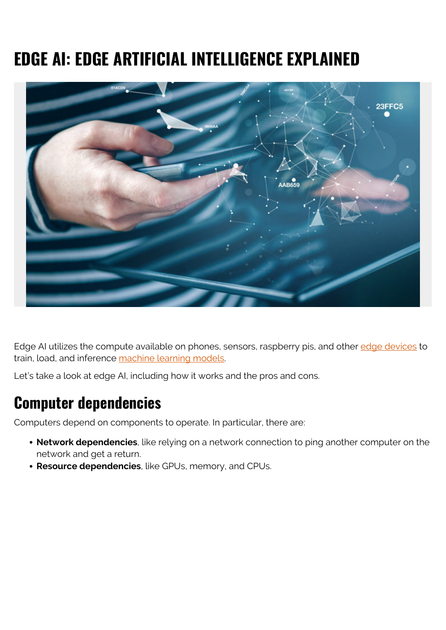# **EDGE AI: EDGE ARTIFICIAL INTELLIGENCE EXPLAINED**



Edge AI utilizes the compute available on phones, sensors, raspberry pis, and other [edge devices](https://blogs.bmc.com/blogs/edge-computing/) to train, load, and inference [machine learning models](https://blogs.bmc.com/blogs/machine-learning-hype-vs-reality/).

Let's take a look at edge AI, including how it works and the pros and cons.

#### **Computer dependencies**

Computers depend on components to operate. In particular, there are:

- **Network dependencies**, like relying on a network connection to ping another computer on the network and get a return.
- **Resource dependencies**, like GPUs, memory, and CPUs.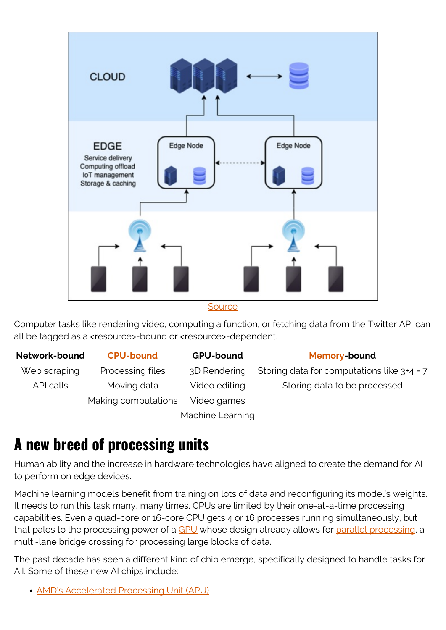

#### **[Source](https://en.wikipedia.org/wiki/Edge_computing)**

Computer tasks like rendering video, computing a function, or fetching data from the Twitter API can all be tagged as a <resource>-bound or <resource>-dependent.

**Network-bound [CPU-bound](https://en.wikipedia.org/wiki/CPU-bound) GPU-bound [Memory-](https://en.wikipedia.org/wiki/Memory_bound_function)bound**

Making computations Video games

Machine Learning

Web scraping Processing files  $3D$  Rendering Storing data for computations like  $3+4=7$ API calls Moving data Video editing Storing data to be processed

#### **A new breed of processing units**

Human ability and the increase in hardware technologies have aligned to create the demand for AI to perform on edge devices.

Machine learning models benefit from training on lots of data and reconfiguring its model's weights. It needs to run this task many, many times. CPUs are limited by their one-at-a-time processing capabilities. Even a quad-core or 16-core CPU gets 4 or 16 processes running simultaneously, but that pales to the processing power of a [GPU](https://blogs.bmc.com/blogs/using-gpus-graphical-processing-units-for-machine-learning/) whose design already allows for [parallel processing](https://blogs.bmc.com/blogs/batch-jobs/), a multi-lane bridge crossing for processing large blocks of data.

The past decade has seen a different kind of chip emerge, specifically designed to handle tasks for A.I. Some of these new AI chips include:

[AMD's Accelerated Processing Unit \(APU\)](https://en.wikipedia.org/wiki/AMD_Accelerated_Processing_Unit)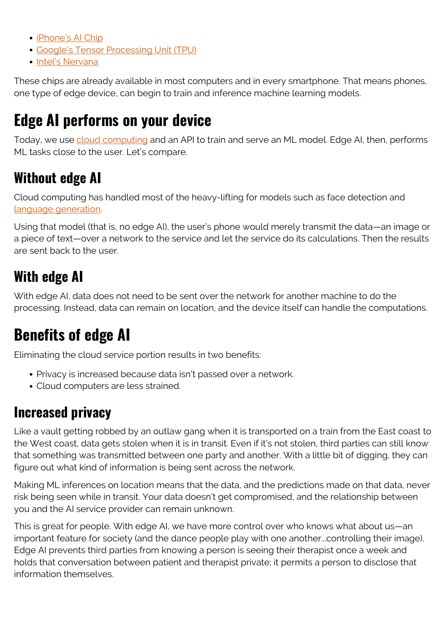- [iPhone's AI Chip](https://www.wired.com/story/how-apple-makes-ai-chip-powering-iphones-fancy-tricks/)
- [Google's Tensor Processing Unit \(TPU\)](https://en.wikipedia.org/wiki/Tensor_processing_unit)
- **[Intel's Nervana](https://www.engadget.com/2019-01-07-intel-nervana-processor-for-inference.html)**

These chips are already available in most computers and in every smartphone. That means phones, one type of edge device, can begin to train and inference machine learning models.

# **Edge AI performs on your device**

Today, we use [cloud computing](https://blogs.bmc.com/blogs/advantages-benefits-cloud-computing/) and an API to train and serve an ML model. Edge AI, then, performs ML tasks close to the user. Let's compare.

## **Without edge AI**

Cloud computing has handled most of the heavy-lifting for models such as face detection and [language generation](https://blogs.bmc.com/blogs/ai-language-model/).

Using that model (that is, no edge AI), the user's phone would merely transmit the data—an image or a piece of text—over a network to the service and let the service do its calculations. Then the results are sent back to the user.

# **With edge AI**

With edge AI, data does not need to be sent over the network for another machine to do the processing. Instead, data can remain on location, and the device itself can handle the computations.

# **Benefits of edge AI**

Eliminating the cloud service portion results in two benefits:

- Privacy is increased because data isn't passed over a network.
- Cloud computers are less strained.

#### **Increased privacy**

Like a vault getting robbed by an outlaw gang when it is transported on a train from the East coast to the West coast, data gets stolen when it is in transit. Even if it's not stolen, third parties can still know that something was transmitted between one party and another. With a little bit of digging, they can figure out what kind of information is being sent across the network.

Making ML inferences on location means that the data, and the predictions made on that data, never risk being seen while in transit. Your data doesn't get compromised, and the relationship between you and the AI service provider can remain unknown.

This is great for people. With edge AI, we have more control over who knows what about us—an important feature for society (and the dance people play with one another...controlling their image). Edge AI prevents third parties from knowing a person is seeing their therapist once a week and holds that conversation between patient and therapist private; it permits a person to disclose that information themselves.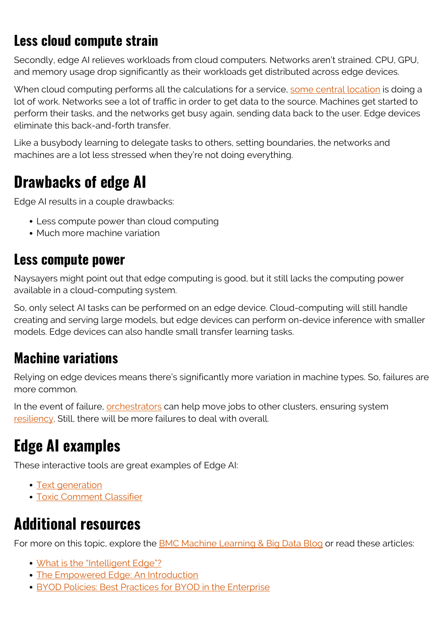## **Less cloud compute strain**

Secondly, edge AI relieves workloads from cloud computers. Networks aren't strained. CPU, GPU, and memory usage drop significantly as their workloads get distributed across edge devices.

When cloud computing performs all the calculations for a service, [some central location](https://blogs.bmc.com/blogs/hyperscale-data-center/) is doing a lot of work. Networks see a lot of traffic in order to get data to the source. Machines get started to perform their tasks, and the networks get busy again, sending data back to the user. Edge devices eliminate this back-and-forth transfer.

Like a busybody learning to delegate tasks to others, setting boundaries, the networks and machines are a lot less stressed when they're not doing everything.

# **Drawbacks of edge AI**

Edge AI results in a couple drawbacks:

- Less compute power than cloud computing
- Much more machine variation

#### **Less compute power**

Naysayers might point out that edge computing is good, but it still lacks the computing power available in a cloud-computing system.

So, only select AI tasks can be performed on an edge device. Cloud-computing will still handle creating and serving large models, but edge devices can perform on-device inference with smaller models. Edge devices can also handle small transfer learning tasks.

#### **Machine variations**

Relying on edge devices means there's significantly more variation in machine types. So, failures are more common.

In the event of failure, *orchestrators* can help move jobs to other clusters, ensuring system [resiliency](https://blogs.bmc.com/blogs/resiliency-vs-redundancy/). Still, there will be more failures to deal with overall.

# **Edge AI examples**

These interactive tools are great examples of Edge AI:

- [Text generation](https://transformer.huggingface.co/doc/distil-gpt2)
- [Toxic Comment Classifier](https://storage.googleapis.com/tfjs-models/demos/toxicity/index.html)

# **Additional resources**

For more on this topic, explore the **BMC Machine Learning & Big Data Blog** or read these articles:

- [What is the "Intelligent Edge"?](https://blogs.bmc.com/blogs/intelligent-edge/)
- [The Empowered Edge: An Introduction](https://blogs.bmc.com/blogs/empowered-edge/)
- [BYOD Policies: Best Practices for BYOD in the Enterprise](https://blogs.bmc.com/blogs/byod-policies/)